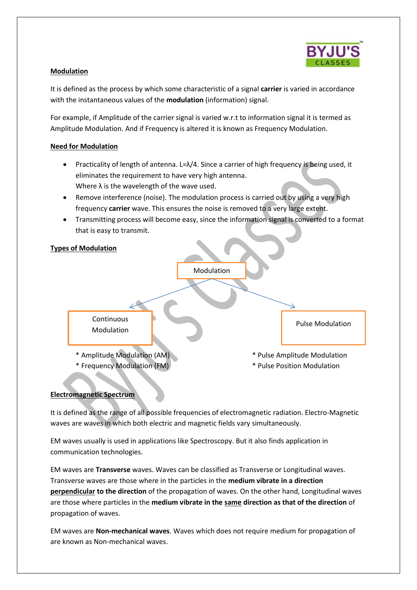

## **Modulation**

It is defined as the process by which some characteristic of a signal **carrier** is varied in accordance with the instantaneous values of the **modulation** (information) signal.

For example, if Amplitude of the carrier signal is varied w.r.t to information signal it is termed as Amplitude Modulation. And if Frequency is altered it is known as Frequency Modulation.

## **Need for Modulation**

- **•** Practicality of length of antenna. L= $\lambda/4$ . Since a carrier of high frequency is being used, it eliminates the requirement to have very high antenna. Where  $\lambda$  is the wavelength of the wave used.
- Remove interference (noise). The modulation process is carried out by using a very high frequency **carrier** wave. This ensures the noise is removed to a very large extent.
- Transmitting process will become easy, since the information signal is converted to a format that is easy to transmit.

## **Types of Modulation**



## **Electromagnetic Spectrum**

It is defined as the range of all possible frequencies of electromagnetic radiation. Electro-Magnetic waves are waves in which both electric and magnetic fields vary simultaneously.

EM waves usually is used in applications like Spectroscopy. But it also finds application in communication technologies.

EM waves are **Transverse** waves. Waves can be classified as Transverse or Longitudinal waves. Transverse waves are those where in the particles in the **medium vibrate in a direction perpendicular to the direction** of the propagation of waves. On the other hand, Longitudinal waves are those where particles in the **medium vibrate in the same direction as that of the direction** of propagation of waves.

EM waves are **Non-mechanical waves**. Waves which does not require medium for propagation of are known as Non-mechanical waves.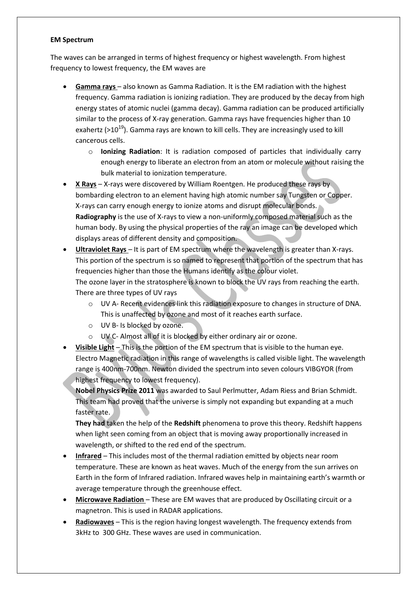### **EM Spectrum**

The waves can be arranged in terms of highest frequency or highest wavelength. From highest frequency to lowest frequency, the EM waves are

- **Gamma rays**  also known as Gamma Radiation. It is the EM radiation with the highest frequency. Gamma radiation is ionizing radiation. They are produced by the decay from high energy states of atomic nuclei (gamma decay). Gamma radiation can be produced artificially similar to the process of X-ray generation. Gamma rays have frequencies higher than 10 exahertz ( $>10^{19}$ ). Gamma rays are known to kill cells. They are increasingly used to kill cancerous cells.
	- o **Ionizing Radiation**: It is radiation composed of particles that individually carry enough energy to liberate an electron from an atom or molecule without raising the bulk material to ionization temperature.
- **X Rays** X-rays were discovered by William Roentgen. He produced these rays by bombarding electron to an element having high atomic number say Tungsten or Copper. X-rays can carry enough energy to ionize atoms and disrupt molecular bonds. **Radiography** is the use of X-rays to view a non-uniformly composed material such as the human body. By using the physical properties of the ray an image can be developed which displays areas of different density and composition.
- **Ultraviolet Rays** It is part of EM spectrum where the wavelength is greater than X-rays. This portion of the spectrum is so named to represent that portion of the spectrum that has frequencies higher than those the Humans identify as the colour violet. The ozone layer in the stratosphere is known to block the UV rays from reaching the earth. There are three types of UV rays
	- o UV A- Recent evidences link this radiation exposure to changes in structure of DNA. This is unaffected by ozone and most of it reaches earth surface.
	- o UV B- Is blocked by ozone.
	- o UV C- Almost all of it is blocked by either ordinary air or ozone.
- **Visible Light** This is the portion of the EM spectrum that is visible to the human eye. Electro Magnetic radiation in this range of wavelengths is called visible light. The wavelength range is 400nm-700nm. Newton divided the spectrum into seven colours VIBGYOR (from highest frequency to lowest frequency).

**Nobel Physics Prize 2011** was awarded to Saul Perlmutter, Adam Riess and Brian Schmidt. This team had proved that the universe is simply not expanding but expanding at a much faster rate.

**They had** taken the help of the **Redshift** phenomena to prove this theory. Redshift happens when light seen coming from an object that is moving away proportionally increased in wavelength, or shifted to the red end of the spectrum.

- **Infrared** This includes most of the thermal radiation emitted by objects near room temperature. These are known as heat waves. Much of the energy from the sun arrives on Earth in the form of Infrared radiation. Infrared waves help in maintaining earth's warmth or average temperature through the greenhouse effect.
- **Microwave Radiation** These are EM waves that are produced by Oscillating circuit or a magnetron. This is used in RADAR applications.
- **Radiowaves** This is the region having longest wavelength. The frequency extends from 3kHz to 300 GHz. These waves are used in communication.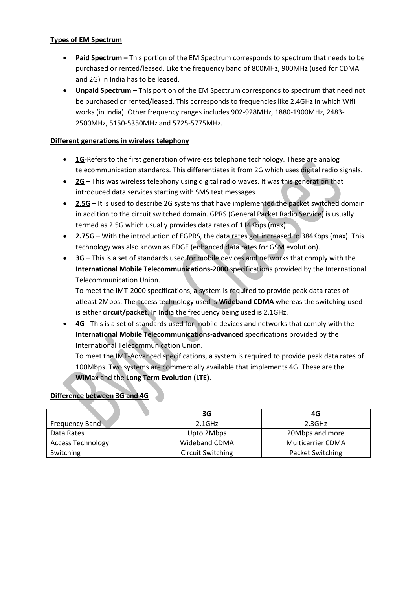## **Types of EM Spectrum**

- **Paid Spectrum –** This portion of the EM Spectrum corresponds to spectrum that needs to be purchased or rented/leased. Like the frequency band of 800MHz, 900MHz (used for CDMA and 2G) in India has to be leased.
- **Unpaid Spectrum –** This portion of the EM Spectrum corresponds to spectrum that need not be purchased or rented/leased. This corresponds to frequencies like 2.4GHz in which Wifi works (in India). Other frequency ranges includes 902-928MHz, 1880-1900MHz, 2483- 2500MHz, 5150-5350MHz and 5725-5775MHz.

## **Different generations in wireless telephony**

- **1G**-Refers to the first generation of wireless telephone technology. These are analog telecommunication standards. This differentiates it from 2G which uses digital radio signals.
- **2G** This was wireless telephony using digital radio waves. It was this generation that introduced data services starting with SMS text messages.
- **2.5G** It is used to describe 2G systems that have implemented the packet switched domain in addition to the circuit switched domain. GPRS (General Packet Radio Service) is usually termed as 2.5G which usually provides data rates of 114Kbps (max).
- **2.75G** With the introduction of EGPRS, the data rates got increased to 384Kbps (max). This technology was also known as EDGE (enhanced data rates for GSM evolution).
- **3G** This is a set of standards used for mobile devices and networks that comply with the **International Mobile Telecommunications-2000** specifications provided by the International Telecommunication Union.

To meet the IMT-2000 specifications, a system is required to provide peak data rates of atleast 2Mbps. The access technology used is **Wideband CDMA** whereas the switching used is either **circuit/packet**. In India the frequency being used is 2.1GHz.

 **4G** - This is a set of standards used for mobile devices and networks that comply with the **International Mobile Telecommunications-advanced** specifications provided by the International Telecommunication Union.

To meet the IMT-Advanced specifications, a system is required to provide peak data rates of 100Mbps. Two systems are commercially available that implements 4G. These are the **WiMax** and the **Long Term Evolution (LTE)**.

# **Difference between 3G and 4G**

|                          | 3G                       | 4G                       |
|--------------------------|--------------------------|--------------------------|
| <b>Frequency Band</b>    | $2.1$ GHz                | 2.3GHz                   |
| Data Rates               | Upto 2Mbps               | 20Mbps and more          |
| <b>Access Technology</b> | Wideband CDMA            | <b>Multicarrier CDMA</b> |
| Switching                | <b>Circuit Switching</b> | Packet Switching         |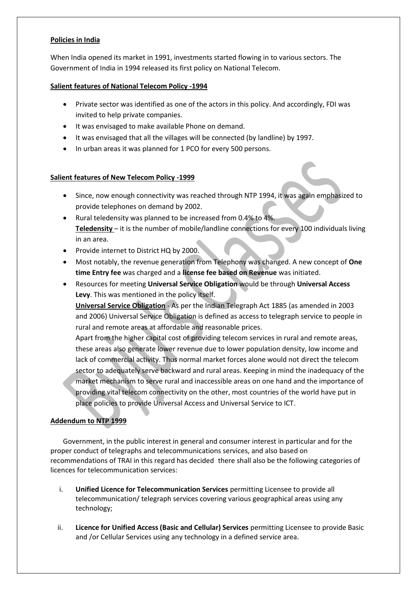## **Policies in India**

When India opened its market in 1991, investments started flowing in to various sectors. The Government of India in 1994 released its first policy on National Telecom.

# **Salient features of National Telecom Policy -1994**

- Private sector was identified as one of the actors in this policy. And accordingly, FDI was invited to help private companies.
- $\bullet$  It was envisaged to make available Phone on demand.
- It was envisaged that all the villages will be connected (by landline) by 1997.
- In urban areas it was planned for 1 PCO for every 500 persons.

## **Salient features of New Telecom Policy -1999**

- Since, now enough connectivity was reached through NTP 1994, it was again emphasized to provide telephones on demand by 2002.
- Rural teledensity was planned to be increased from 0.4% to 4%. **Teledensity** – it is the number of mobile/landline connections for every 100 individuals living in an area.
- Provide internet to District HQ by 2000.
- Most notably, the revenue generation from Telephony was changed. A new concept of **One time Entry fee** was charged and a **license fee based on Revenue** was initiated.
- Resources for meeting **Universal Service Obligation** would be through **Universal Access Levy**. This was mentioned in the policy itself.

**Universal Service Obligation** - As per the Indian Telegraph Act 1885 (as amended in 2003 and 2006) Universal Service Obligation is defined as access to telegraph service to people in rural and remote areas at affordable and reasonable prices.

Apart from the higher capital cost of providing telecom services in rural and remote areas, these areas also generate lower revenue due to lower population density, low income and lack of commercial activity. Thus normal market forces alone would not direct the telecom sector to adequately serve backward and rural areas. Keeping in mind the inadequacy of the market mechanism to serve rural and inaccessible areas on one hand and the importance of providing vital telecom connectivity on the other, most countries of the world have put in place policies to provide Universal Access and Universal Service to ICT.

# **Addendum to NTP 1999**

Government, in the public interest in general and consumer interest in particular and for the proper conduct of telegraphs and telecommunications services, and also based on recommendations of TRAI in this regard has decided there shall also be the following categories of licences for telecommunication services:

- i. **Unified Licence for Telecommunication Services** permitting Licensee to provide all telecommunication/ telegraph services covering various geographical areas using any technology;
- ii. **Licence for Unified Access (Basic and Cellular) Services** permitting Licensee to provide Basic and /or Cellular Services using any technology in a defined service area.